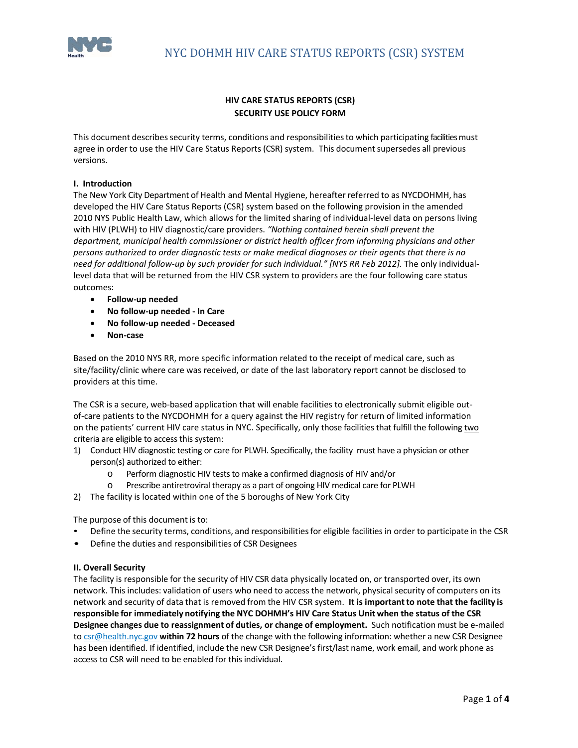

# **HIV CARE STATUS REPORTS (CSR) SECURITY USE POLICY FORM**

This document describes security terms, conditions and responsibilities to which participating facilities must agree in order to use the HIV Care Status Reports (CSR) system. This document supersedes all previous versions.

## **I. Introduction**

The New York City Department of Health and Mental Hygiene, hereafter referred to as NYCDOHMH, has developed the HIV Care Status Reports (CSR) system based on the following provision in the amended 2010 NYS Public Health Law, which allows for the limited sharing of individual-level data on persons living with HIV (PLWH) to HIV diagnostic/care providers. *"Nothing contained herein shall prevent the department, municipal health commissioner or district health officer from informing physicians and other persons authorized to order diagnostic tests or make medical diagnoses or their agents that there is no need for additional follow‐up by such provider for such individual." [NYS RR Feb 2012].* The only individual‐ level data that will be returned from the HIV CSR system to providers are the four following care status outcomes:

- **Follow‐up needed**
- **No follow‐up needed ‐ In Care**
- **No follow‐up needed ‐ Deceased**
- **Non‐case**

Based on the 2010 NYS RR, more specific information related to the receipt of medical care, such as site/facility/clinic where care was received, or date of the last laboratory report cannot be disclosed to providers at this time.

The CSR is a secure, web-based application that will enable facilities to electronically submit eligible outof-care patients to the NYCDOHMH for a query against the HIV registry for return of limited information on the patients' current HIV care status in NYC. Specifically, only those facilities that fulfill the following two criteria are eligible to access this system:

- 1) Conduct HIV diagnostic testing or care for PLWH. Specifically, the facility must have a physician or other person(s) authorized to either:
	- o Perform diagnostic HIV teststo make a confirmed diagnosis of HIV and/or
	- o Prescribe antiretroviral therapy as a part of ongoing HIV medical care for PLWH
- 2) The facility is located within one of the 5 boroughs of New York City

The purpose of this document is to:

- Define the security terms, conditions, and responsibilities for eligible facilities in order to participate in the CSR
- Define the duties and responsibilities of CSR Designees

#### **II. Overall Security**

The facility is responsible for the security of HIV CSR data physically located on, or transported over, its own network. This includes: validation of users who need to access the network, physical security of computers on its network and security of data that is removed from the HIV CSR system. **It is importantto note that the facility is responsible for immediately notifying the NYC DOHMH's HIV Care Status Unit when the status of the CSR Designee changes due to reassignment of duties, or change of employment.** Such notification must be e‐mailed to csr@health.nyc.gov **within 72 hours** of the change with the following information: whether a new CSR Designee has been identified. If identified, include the new CSR Designee's first/last name, work email, and work phone as access to CSR will need to be enabled for this individual.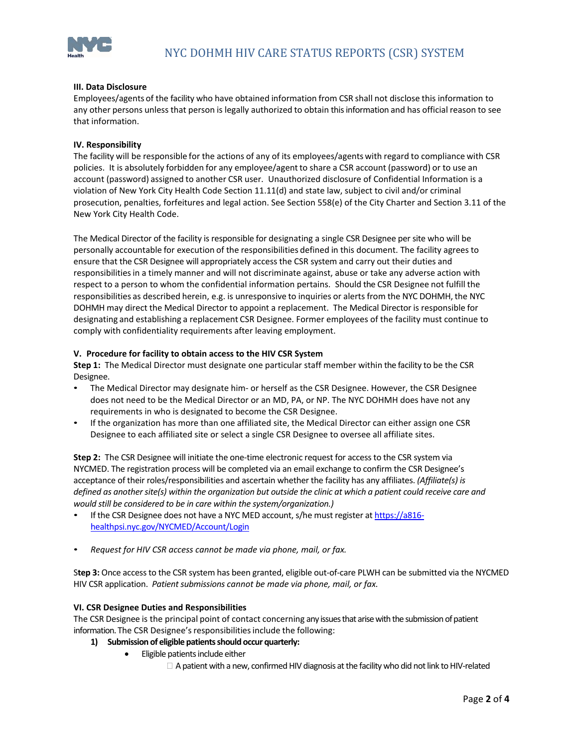

## **III. Data Disclosure**

Employees/agents of the facility who have obtained information from CSR shall not disclose this information to any other persons unless that person is legally authorized to obtain this information and has official reason to see that information.

### **IV. Responsibility**

The facility will be responsible for the actions of any of its employees/agents with regard to compliance with CSR policies. It is absolutely forbidden for any employee/agentto share a CSR account (password) or to use an account (password) assigned to another CSR user. Unauthorized disclosure of Confidential Information is a violation of New York City Health Code Section 11.11(d) and state law, subject to civil and/or criminal prosecution, penalties, forfeitures and legal action. See Section 558(e) of the City Charter and Section 3.11 of the New York City Health Code.

The Medical Director of the facility is responsible for designating a single CSR Designee per site who will be personally accountable for execution of the responsibilities defined in this document. The facility agrees to ensure that the CSR Designee will appropriately access the CSR system and carry out their duties and responsibilitiesin a timely manner and will not discriminate against, abuse or take any adverse action with respect to a person to whom the confidential information pertains. Should the CSR Designee not fulfill the responsibilities as described herein, e.g. is unresponsive to inquiries or alerts from the NYC DOHMH, the NYC DOHMH may direct the Medical Director to appoint a replacement. The Medical Director is responsible for designating and establishing a replacement CSR Designee. Former employees of the facility must continue to comply with confidentiality requirements after leaving employment.

## **V. Procedure for facility to obtain access to the HIV CSR System**

**Step 1:** The Medical Director must designate one particular staff member within the facility to be the CSR Designee.

- The Medical Director may designate him‐ or herself as the CSR Designee. However, the CSR Designee does not need to be the Medical Director or an MD, PA, or NP. The NYC DOHMH does have not any requirements in who is designated to become the CSR Designee.
- If the organization has more than one affiliated site, the Medical Director can either assign one CSR Designee to each affiliated site or select a single CSR Designee to oversee all affiliate sites.

**Step 2:** The CSR Designee will initiate the one-time electronic request for access to the CSR system via NYCMED. The registration process will be completed via an email exchange to confirm the CSR Designee's acceptance of their roles/responsibilities and ascertain whether the facility has any affiliates. *(Affiliate(s) is* defined as another site(s) within the organization but outside the clinic at which a patient could receive care and *would still be considered to be in care within the system/organization.)*

- If the CSR Designee does not have a NYC MED account, s/he must register at https://a816healthpsi.nyc.gov/NYCMED/Account/Login
- *Request for HIV CSR access cannot be made via phone, mail, or fax.*

S**tep 3:** Once accessto the CSR system has been granted, eligible out‐of‐care PLWH can be submitted via the NYCMED HIV CSR application. Patient submissions cannot be made via phone, mail, or fax.

#### **VI. CSR Designee Duties and Responsibilities**

The CSR Designee is the principal point of contact concerning any issues that arise with the submission of patient information. The CSR Designee's responsibilities include the following:

- **1) Submission of eligible patientsshould occur quarterly:**
	- Eligible patients include either
		- $\Box$  A patient with a new, confirmed HIV diagnosis at the facility who did not link to HIV-related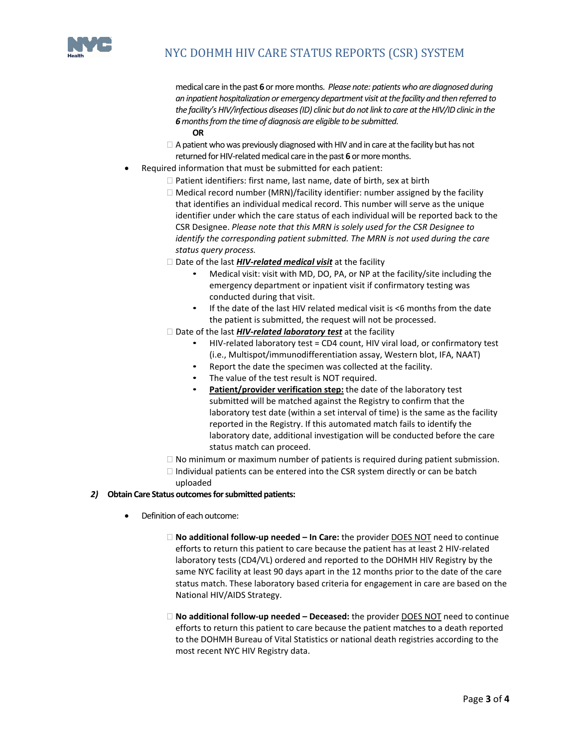

medical care in the past **6** ormoremonths.*Please note: patients who are diagnosed during an inpatient hospitalization or emergency department visit atthe facility and then referred to the facility'sHIV/infectious diseases(ID) clinic but do notlink to care attheHIV/IDclinic in the 6monthsfromthe time of diagnosis are eligible to be submitted.*

- **OR**  $\Box$  A patient who was previously diagnosed with HIV and in care at the facility but has not
- returned for HIV-related medical care in the past 6 or more months.
- Required information that must be submitted for each patient:
	- $\Box$  Patient identifiers: first name, last name, date of birth, sex at birth
		- $\Box$  Medical record number (MRN)/facility identifier: number assigned by the facility that identifies an individual medical record. This number will serve as the unique identifier under which the care status of each individual will be reported back to the CSR Designee. *Please note that this MRN is solely used for the CSR Designee to identify the corresponding patient submitted. The MRN is not used during the care status query process.*
		- □ Date of the last **HIV-related medical visit** at the facility
			- Medical visit: visit with MD, DO, PA, or NP at the facility/site including the emergency department or inpatient visit if confirmatory testing was conducted during that visit.
			- If the date of the last HIV related medical visit is <6 months from the date the patient is submitted, the request will not be processed.
		- □ Date of the last *HIV-related laboratory test* at the facility
			- HIV‐related laboratory test = CD4 count, HIV viral load, or confirmatory test (i.e., Multispot/immunodifferentiation assay, Western blot, IFA, NAAT)
			- Report the date the specimen was collected at the facility.
			- The value of the test result is NOT required.
			- **Patient/provider verification step:** the date of the laboratory test submitted will be matched against the Registry to confirm that the laboratory test date (within a set interval of time) is the same as the facility reported in the Registry. If this automated match fails to identify the laboratory date, additional investigation will be conducted before the care status match can proceed.
		- $\Box$  No minimum or maximum number of patients is required during patient submission.
		- $\Box$  Individual patients can be entered into the CSR system directly or can be batch uploaded

## *2)* **Obtain Care Status outcomesforsubmitted patients:**

- Definition of each outcome:
	- **No additional follow‐up needed – In Care:** the provider DOES NOT need to continue efforts to return this patient to care because the patient has at least 2 HIV‐related laboratory tests (CD4/VL) ordered and reported to the DOHMH HIV Registry by the same NYC facility at least 90 days apart in the 12 months prior to the date of the care status match. These laboratory based criteria for engagement in care are based on the National HIV/AIDS Strategy.
	- **No additional follow‐up needed – Deceased:** the provider DOES NOT need to continue efforts to return this patient to care because the patient matches to a death reported to the DOHMH Bureau of Vital Statistics or national death registries according to the most recent NYC HIV Registry data.